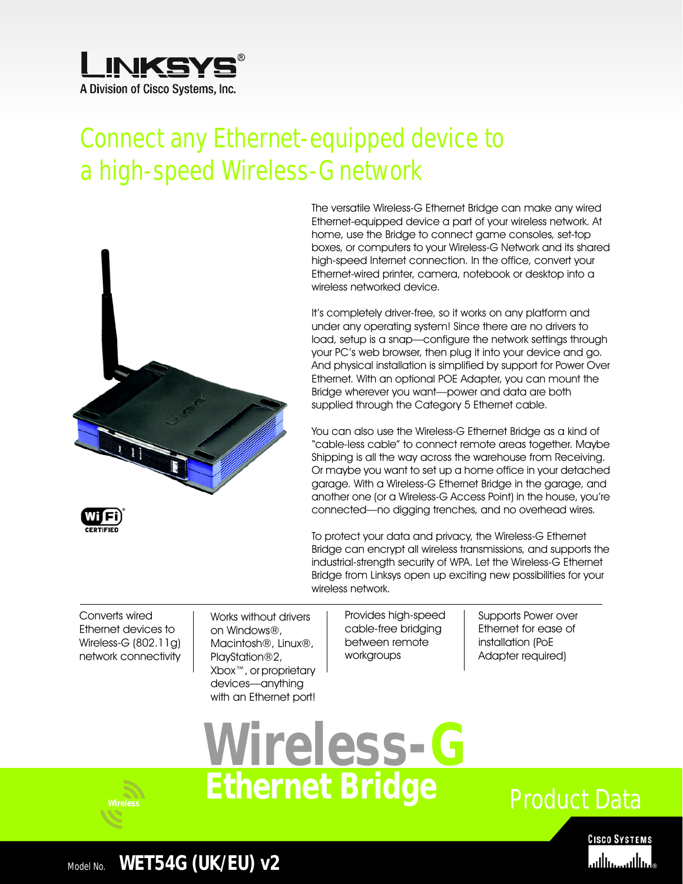

# Connect any Ethernet-equipped device to a high-speed Wireless-G network



The versatile Wireless-G Ethernet Bridge can make any wired Ethernet-equipped device a part of your wireless network. At home, use the Bridge to connect game consoles, set-top boxes, or computers to your Wireless-G Network and its shared high-speed Internet connection. In the office, convert your Ethernet-wired printer, camera, notebook or desktop into a wireless networked device.

It's completely driver-free, so it works on any platform and under any operating system! Since there are no drivers to load, setup is a snap—configure the network settings through your PC's web browser, then plug it into your device and go. And physical installation is simplified by support for Power Over Ethernet. With an optional POE Adapter, you can mount the Bridge wherever you want—power and data are both supplied through the Category 5 Ethernet cable.

You can also use the Wireless-G Ethernet Bridge as a kind of "cable-less cable" to connect remote areas together. Maybe Shipping is all the way across the warehouse from Receiving. Or maybe you want to set up a home office in your detached garage. With a Wireless-G Ethernet Bridge in the garage, and another one (or a Wireless-G Access Point) in the house, you're connected—no digging trenches, and no overhead wires.

To protect your data and privacy, the Wireless-G Ethernet Bridge can encrypt all wireless transmissions, and supports the industrial-strength security of WPA. Let the Wireless-G Ethernet Bridge from Linksys open up exciting new possibilities for your wireless network.

Converts wired Ethernet devices to Wireless-G (802.11g) network connectivity

Works without drivers on Windows®, Macintosh®, Linux®, PlayStation®2, Xbox™, or proprietary devices—anything with an Ethernet port!

Provides high-speed cable-free bridging between remote workgroups

Supports Power over Ethernet for ease of installation (PoE Adapter required)







### Model No. **WET54G (UK/EU) v2**